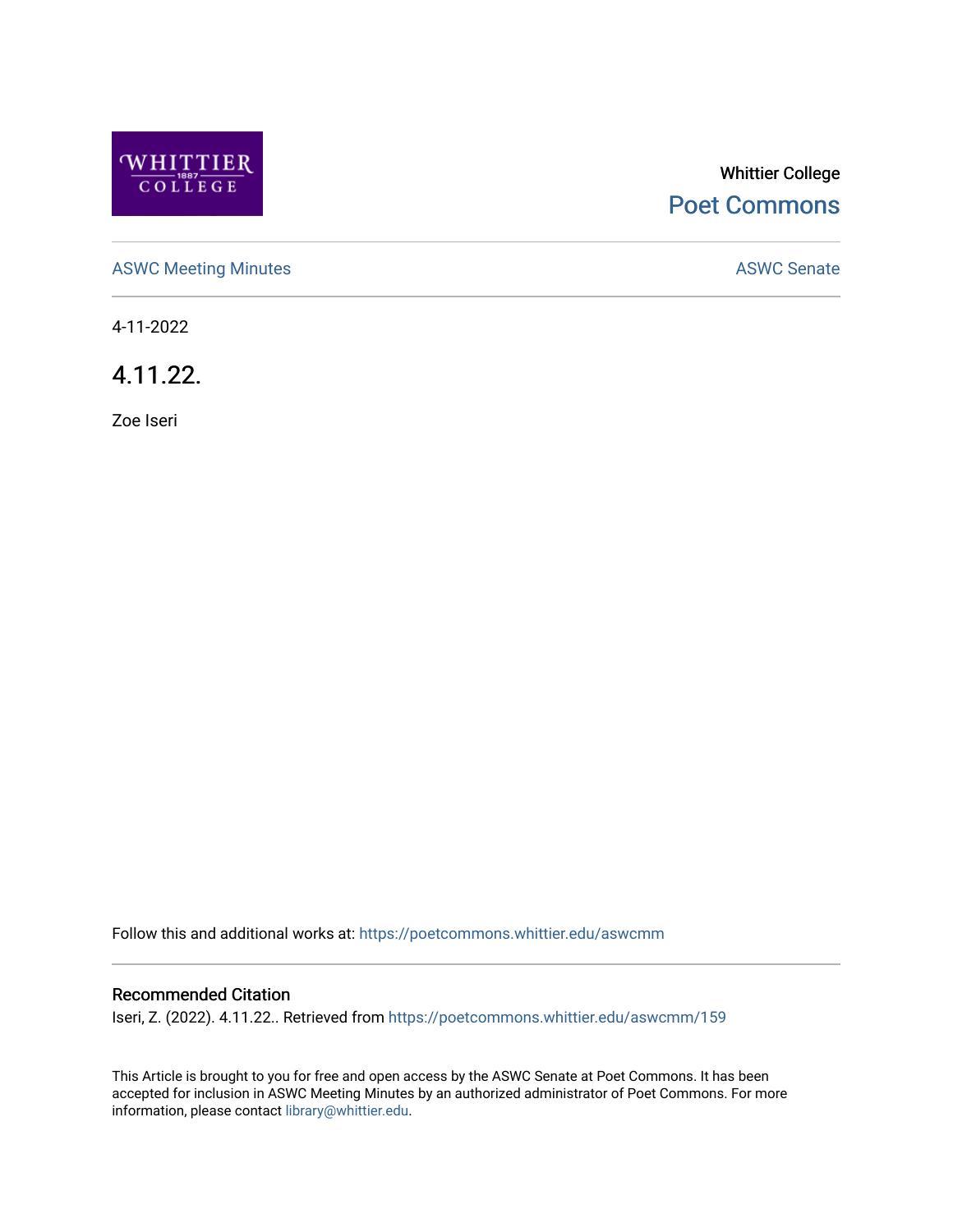

# Whittier College [Poet Commons](https://poetcommons.whittier.edu/)

[ASWC Meeting Minutes](https://poetcommons.whittier.edu/aswcmm) **ASWC Senate** 

4-11-2022

4.11.22.

Zoe Iseri

Follow this and additional works at: [https://poetcommons.whittier.edu/aswcmm](https://poetcommons.whittier.edu/aswcmm?utm_source=poetcommons.whittier.edu%2Faswcmm%2F159&utm_medium=PDF&utm_campaign=PDFCoverPages)

#### Recommended Citation

Iseri, Z. (2022). 4.11.22.. Retrieved from [https://poetcommons.whittier.edu/aswcmm/159](https://poetcommons.whittier.edu/aswcmm/159?utm_source=poetcommons.whittier.edu%2Faswcmm%2F159&utm_medium=PDF&utm_campaign=PDFCoverPages) 

This Article is brought to you for free and open access by the ASWC Senate at Poet Commons. It has been accepted for inclusion in ASWC Meeting Minutes by an authorized administrator of Poet Commons. For more information, please contact [library@whittier.edu.](mailto:library@whittier.edu)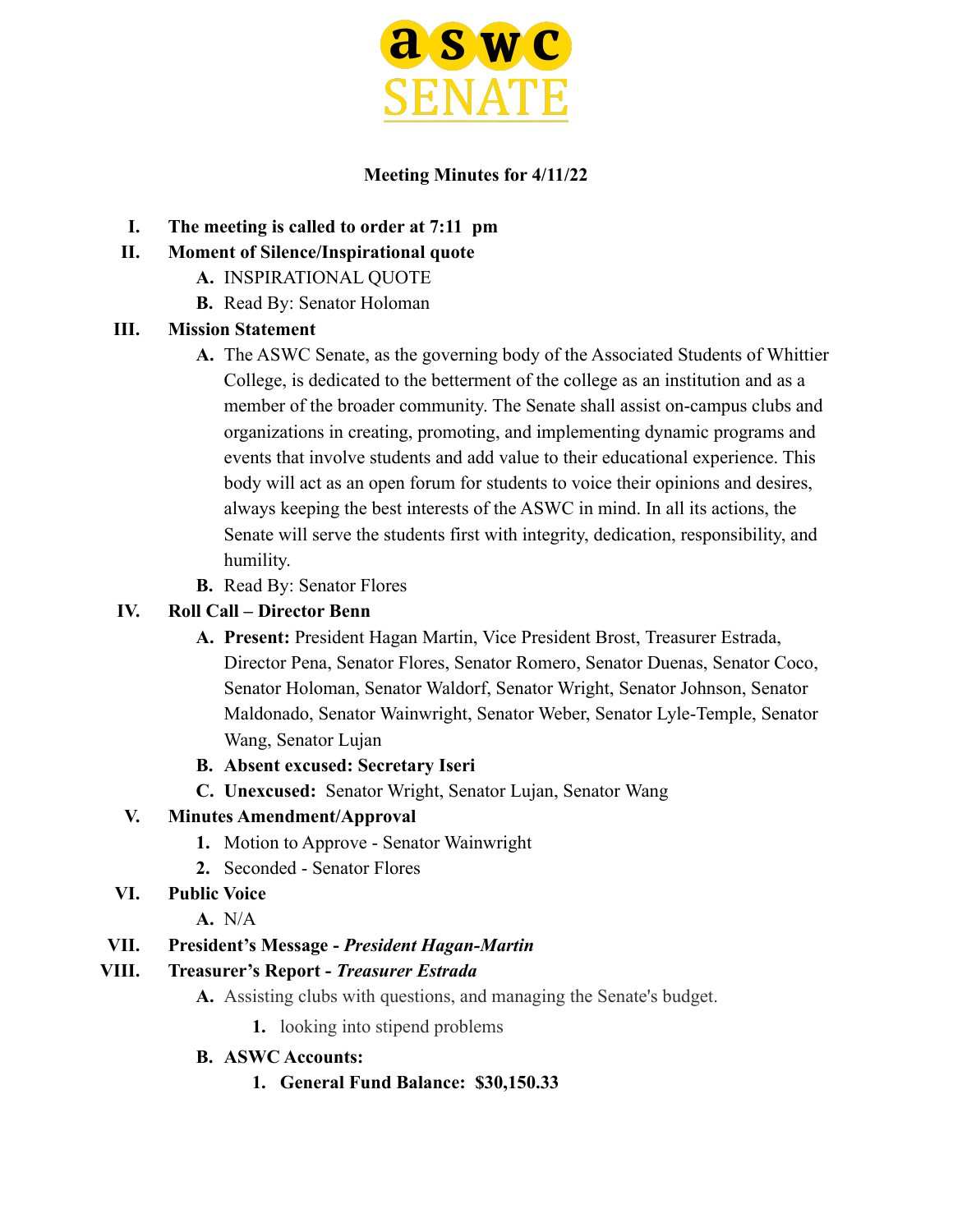

#### **Meeting Minutes for 4/11/22**

- **I. The meeting is called to order at 7:11 pm**
- **II. Moment of Silence/Inspirational quote**
	- **A.** INSPIRATIONAL QUOTE
	- **B.** Read By: Senator Holoman

#### **III. Mission Statement**

- **A.** The ASWC Senate, as the governing body of the Associated Students of Whittier College, is dedicated to the betterment of the college as an institution and as a member of the broader community. The Senate shall assist on-campus clubs and organizations in creating, promoting, and implementing dynamic programs and events that involve students and add value to their educational experience. This body will act as an open forum for students to voice their opinions and desires, always keeping the best interests of the ASWC in mind. In all its actions, the Senate will serve the students first with integrity, dedication, responsibility, and humility.
- **B.** Read By: Senator Flores

#### **IV. Roll Call – Director Benn**

- **A. Present:** President Hagan Martin, Vice President Brost, Treasurer Estrada, Director Pena, Senator Flores, Senator Romero, Senator Duenas, Senator Coco, Senator Holoman, Senator Waldorf, Senator Wright, Senator Johnson, Senator Maldonado, Senator Wainwright, Senator Weber, Senator Lyle-Temple, Senator Wang, Senator Lujan
- **B. Absent excused: Secretary Iseri**
- **C. Unexcused:** Senator Wright, Senator Lujan, Senator Wang

#### **V. Minutes Amendment/Approval**

- **1.** Motion to Approve Senator Wainwright
- **2.** Seconded Senator Flores

### **VI. Public Voice**

**A.** N/A

### **VII. President's Message -** *President Hagan-Martin*

### **VIII. Treasurer's Report -** *Treasurer Estrada*

- **A.** Assisting clubs with questions, and managing the Senate's budget.
	- **1.** looking into stipend problems

#### **B. ASWC Accounts:**

**1. General Fund Balance: \$30,150.33**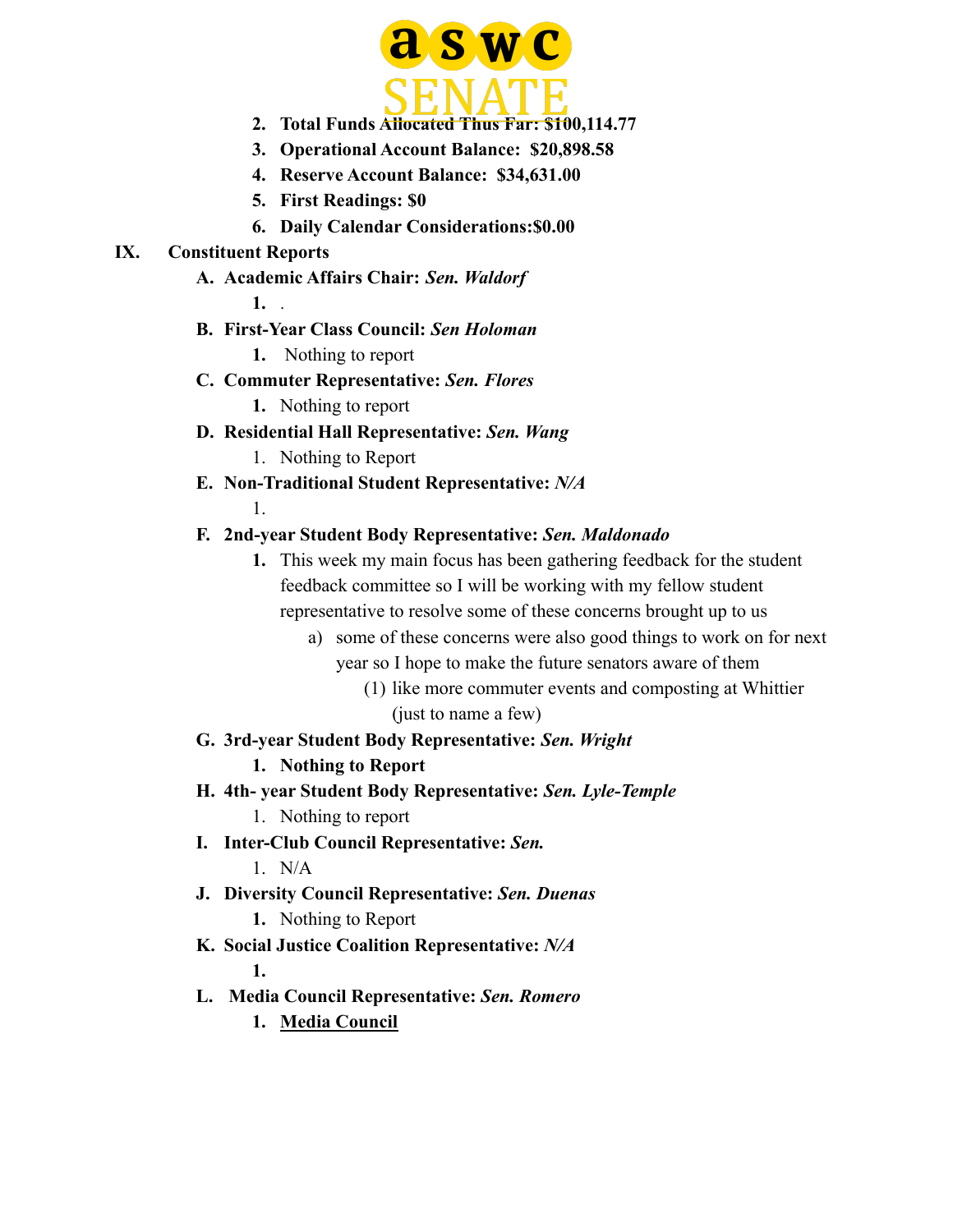

- **2. Total Funds Allocated Thus Far: \$100,114.77**
- **3. Operational Account Balance: \$20,898.58**
- **4. Reserve Account Balance: \$34,631.00**
- **5. First Readings: \$0**
- **6. Daily Calendar Considerations:\$0.00**

#### **IX. Constituent Reports**

**A. Academic Affairs Chair:** *Sen. Waldorf*

**1.** .

1.

- **B. First-Year Class Council:** *Sen Holoman*
	- **1.** Nothing to report
- **C. Commuter Representative:** *Sen. Flores*
	- **1.** Nothing to report
- **D. Residential Hall Representative:** *Sen. Wang* 1. Nothing to Report
- **E. Non-Traditional Student Representative:** *N/A*
- 

### **F. 2nd-year Student Body Representative:** *Sen. Maldonado*

- **1.** This week my main focus has been gathering feedback for the student feedback committee so I will be working with my fellow student representative to resolve some of these concerns brought up to us
	- a) some of these concerns were also good things to work on for next year so I hope to make the future senators aware of them
		- (1) like more commuter events and composting at Whittier (just to name a few)
- **G. 3rd-year Student Body Representative:** *Sen. Wright*

### **1. Nothing to Report**

- **H. 4th- year Student Body Representative:** *Sen. Lyle-Temple*
	- 1. Nothing to report
- **I. Inter-Club Council Representative:** *Sen.*

 $1$  N/A

**J. Diversity Council Representative:** *Sen. Duenas*

**1.** Nothing to Report

- **K. Social Justice Coalition Representative:** *N/A* **1.**
- **L. Media Council Representative:** *Sen. Romero*
	- **1. Media Council**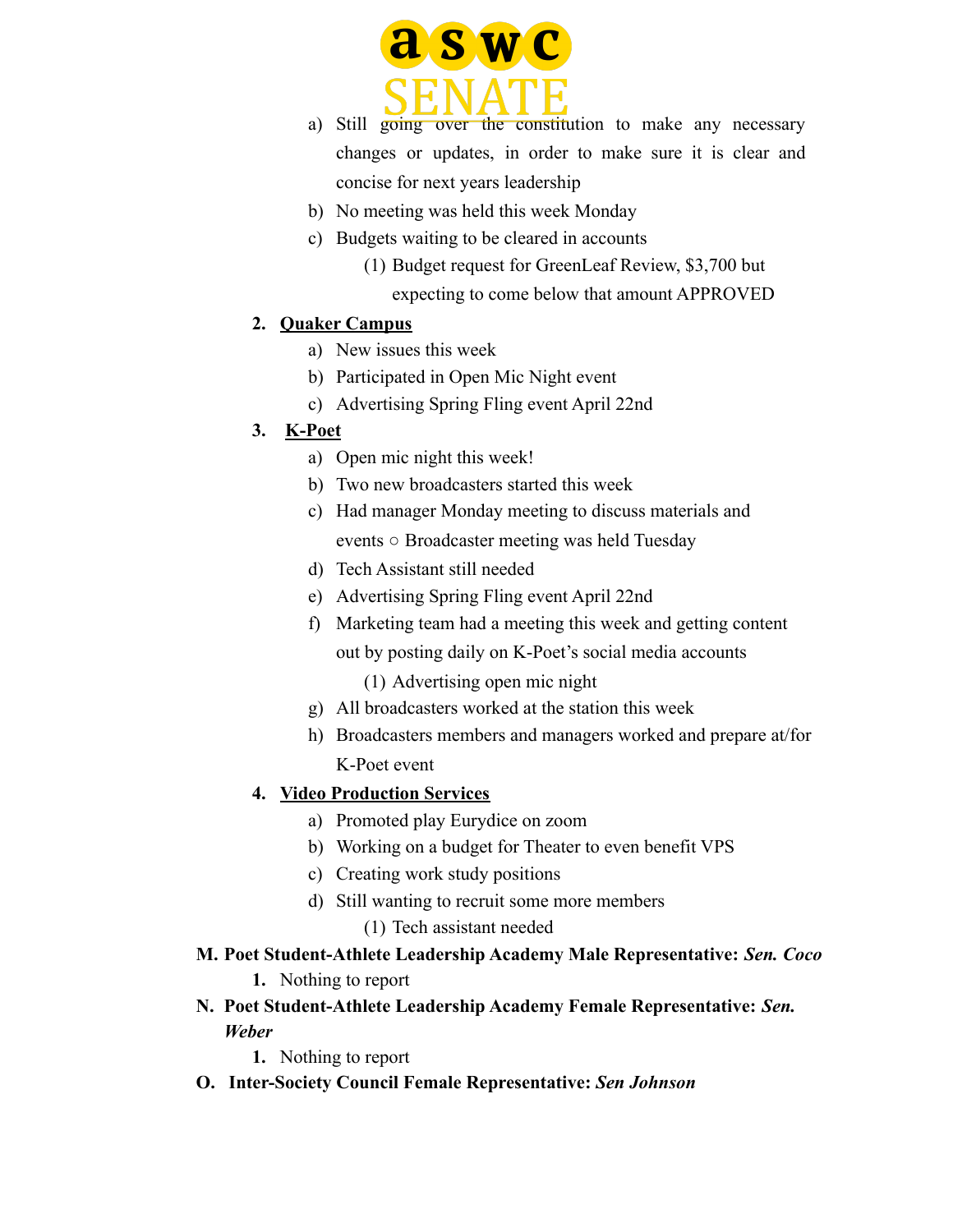

- a) Still going over the constitution to make any necessary changes or updates, in order to make sure it is clear and concise for next years leadership
- b) No meeting was held this week Monday
- c) Budgets waiting to be cleared in accounts
	- (1) Budget request for GreenLeaf Review, \$3,700 but expecting to come below that amount APPROVED

#### **2. Quaker Campus**

- a) New issues this week
- b) Participated in Open Mic Night event
- c) Advertising Spring Fling event April 22nd

#### **3. K-Poet**

- a) Open mic night this week!
- b) Two new broadcasters started this week
- c) Had manager Monday meeting to discuss materials and events ○ Broadcaster meeting was held Tuesday
- d) Tech Assistant still needed
- e) Advertising Spring Fling event April 22nd
- f) Marketing team had a meeting this week and getting content out by posting daily on K-Poet's social media accounts
	- (1) Advertising open mic night
- g) All broadcasters worked at the station this week
- h) Broadcasters members and managers worked and prepare at/for K-Poet event

#### **4. Video Production Services**

- a) Promoted play Eurydice on zoom
- b) Working on a budget for Theater to even benefit VPS
- c) Creating work study positions
- d) Still wanting to recruit some more members
	- (1) Tech assistant needed
- **M. Poet Student-Athlete Leadership Academy Male Representative:** *Sen. Coco* **1.** Nothing to report
- **N. Poet Student-Athlete Leadership Academy Female Representative:** *Sen. Weber*
	- **1.** Nothing to report
- **O. Inter-Society Council Female Representative:** *Sen Johnson*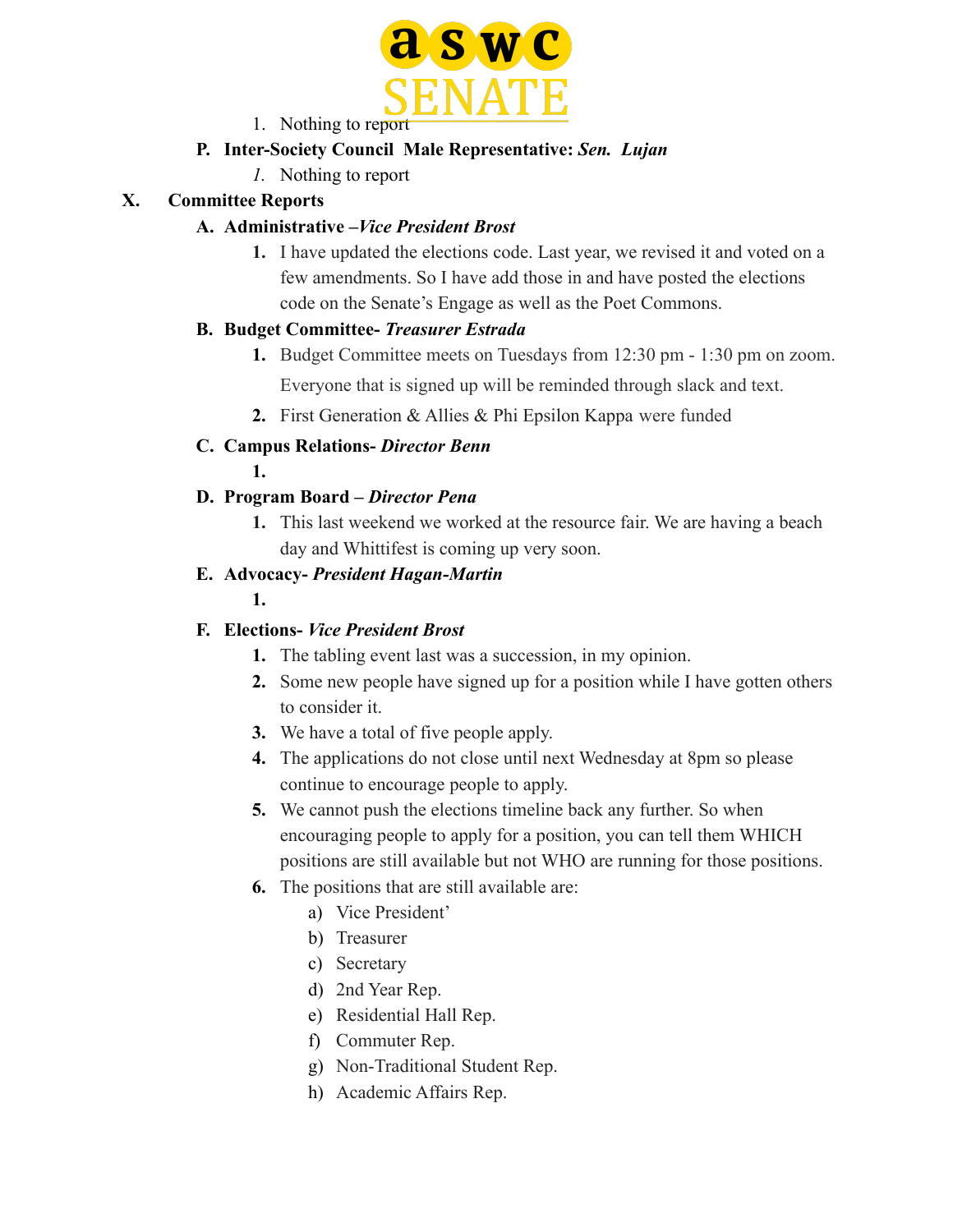

1. Nothing to report

### **P. Inter-Society Council Male Representative:** *Sen. Lujan*

*1.* Nothing to report

### **X. Committee Reports**

### **A. Administrative –***Vice President Brost*

**1.** I have updated the elections code. Last year, we revised it and voted on a few amendments. So I have add those in and have posted the elections code on the Senate's Engage as well as the Poet Commons.

### **B. Budget Committee-** *Treasurer Estrada*

- **1.** Budget Committee meets on Tuesdays from 12:30 pm 1:30 pm on zoom. Everyone that is signed up will be reminded through slack and text.
- **2.** First Generation & Allies & Phi Epsilon Kappa were funded
- **C. Campus Relations-** *Director Benn*
	- **1.**

### **D. Program Board –** *Director Pena*

**1.** This last weekend we worked at the resource fair. We are having a beach day and Whittifest is coming up very soon.

### **E. Advocacy-** *President Hagan-Martin*

**1.**

### **F. Elections-** *Vice President Brost*

- **1.** The tabling event last was a succession, in my opinion.
- **2.** Some new people have signed up for a position while I have gotten others to consider it.
- **3.** We have a total of five people apply.
- **4.** The applications do not close until next Wednesday at 8pm so please continue to encourage people to apply.
- **5.** We cannot push the elections timeline back any further. So when encouraging people to apply for a position, you can tell them WHICH positions are still available but not WHO are running for those positions.
- **6.** The positions that are still available are:
	- a) Vice President'
	- b) Treasurer
	- c) Secretary
	- d) 2nd Year Rep.
	- e) Residential Hall Rep.
	- f) Commuter Rep.
	- g) Non-Traditional Student Rep.
	- h) Academic Affairs Rep.